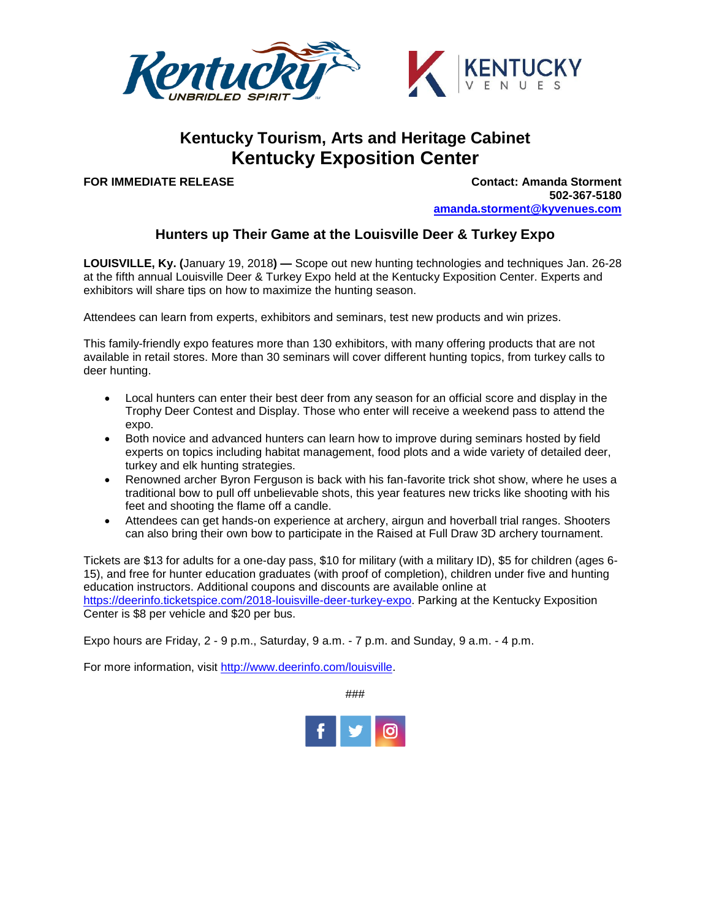

## **Kentucky Tourism, Arts and Heritage Cabinet Kentucky Exposition Center**

**FOR IMMEDIATE RELEASE Contact: Amanda Storment 502-367-5180 [amanda.storment@kyvenues.com](mailto:amanda.storment@kyvenues.com)**

## **Hunters up Their Game at the Louisville Deer & Turkey Expo**

**LOUISVILLE, Ky. (**January 19, 2018**) —** Scope out new hunting technologies and techniques Jan. 26-28 at the fifth annual Louisville Deer & Turkey Expo held at the Kentucky Exposition Center. Experts and exhibitors will share tips on how to maximize the hunting season.

Attendees can learn from experts, exhibitors and seminars, test new products and win prizes.

This family-friendly expo features more than 130 exhibitors, with many offering products that are not available in retail stores. More than 30 seminars will cover different hunting topics, from turkey calls to deer hunting.

- Local hunters can enter their best deer from any season for an official score and display in the Trophy Deer Contest and Display. Those who enter will receive a weekend pass to attend the expo.
- Both novice and advanced hunters can learn how to improve during seminars hosted by field experts on topics including habitat management, food plots and a wide variety of detailed deer, turkey and elk hunting strategies.
- Renowned archer Byron Ferguson is back with his fan-favorite trick shot show, where he uses a traditional bow to pull off unbelievable shots, this year features new tricks like shooting with his feet and shooting the flame off a candle.
- Attendees can get hands-on experience at archery, airgun and hoverball trial ranges. Shooters can also bring their own bow to participate in the Raised at Full Draw 3D archery tournament.

Tickets are \$13 for adults for a one-day pass, \$10 for military (with a military ID), \$5 for children (ages 6- 15), and free for hunter education graduates (with proof of completion), children under five and hunting education instructors. Additional coupons and discounts are available online at [https://deerinfo.ticketspice.com/2018-louisville-deer-turkey-expo.](https://deerinfo.ticketspice.com/2018-louisville-deer-turkey-expo) Parking at the Kentucky Exposition Center is \$8 per vehicle and \$20 per bus.

Expo hours are Friday, 2 - 9 p.m., Saturday, 9 a.m. - 7 p.m. and Sunday, 9 a.m. - 4 p.m.

For more information, visit [http://www.deerinfo.com/louisville.](http://www.deerinfo.com/louisville)

###